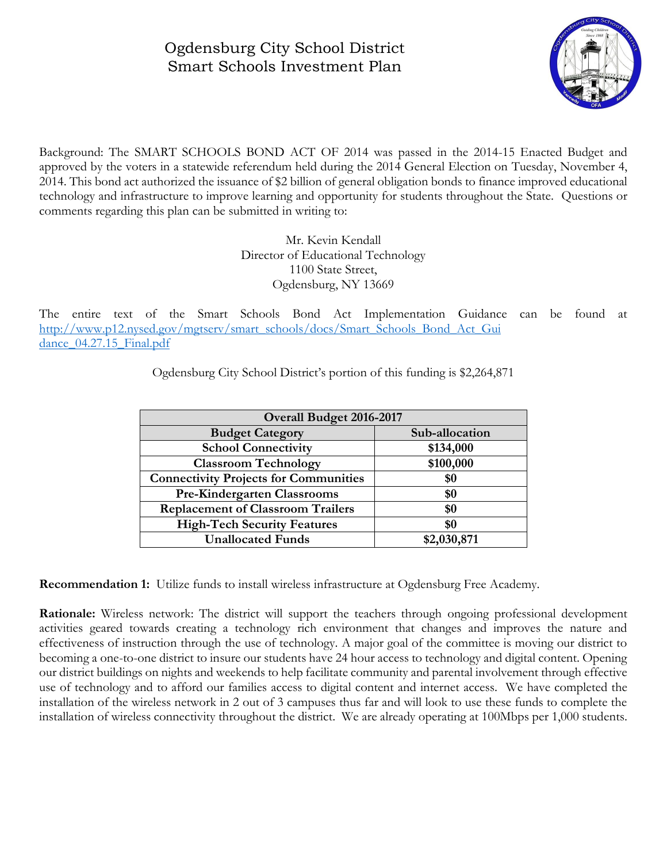## Ogdensburg City School District Smart Schools Investment Plan



Background: The SMART SCHOOLS BOND ACT OF 2014 was passed in the 2014-15 Enacted Budget and approved by the voters in a statewide referendum held during the 2014 General Election on Tuesday, November 4, 2014. This bond act authorized the issuance of \$2 billion of general obligation bonds to finance improved educational technology and infrastructure to improve learning and opportunity for students throughout the State. Questions or comments regarding this plan can be submitted in writing to:

> Mr. Kevin Kendall Director of Educational Technology 1100 State Street, Ogdensburg, NY 13669

The entire text of the Smart Schools Bond Act Implementation Guidance can be found at [http://www.p12.nysed.gov/mgtserv/smart\\_schools/docs/Smart\\_Schools\\_Bond\\_Act\\_Gui](http://www.p12.nysed.gov/mgtserv/smart_schools/docs/Smart_Schools_Bond_Act_Gui%20dance_04.27.15_Final.pdf)  dance 04.27.15 Final.pdf

| <b>Overall Budget 2016-2017</b>              |                |
|----------------------------------------------|----------------|
| <b>Budget Category</b>                       | Sub-allocation |
| <b>School Connectivity</b>                   | \$134,000      |
| <b>Classroom Technology</b>                  | \$100,000      |
| <b>Connectivity Projects for Communities</b> | \$0            |
| <b>Pre-Kindergarten Classrooms</b>           | \$0            |
| <b>Replacement of Classroom Trailers</b>     | \$0            |
| <b>High-Tech Security Features</b>           | \$0            |
| <b>Unallocated Funds</b>                     | \$2,030,871    |

Ogdensburg City School District's portion of this funding is \$2,264,871

**Recommendation 1:** Utilize funds to install wireless infrastructure at Ogdensburg Free Academy.

**Rationale:** Wireless network: The district will support the teachers through ongoing professional development activities geared towards creating a technology rich environment that changes and improves the nature and effectiveness of instruction through the use of technology. A major goal of the committee is moving our district to becoming a one-to-one district to insure our students have 24 hour access to technology and digital content. Opening our district buildings on nights and weekends to help facilitate community and parental involvement through effective use of technology and to afford our families access to digital content and internet access. We have completed the installation of the wireless network in 2 out of 3 campuses thus far and will look to use these funds to complete the installation of wireless connectivity throughout the district. We are already operating at 100Mbps per 1,000 students.